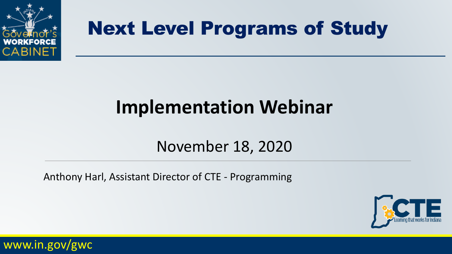

# **Implementation Webinar**

#### November 18, 2020

Anthony Harl, Assistant Director of CTE - Programming



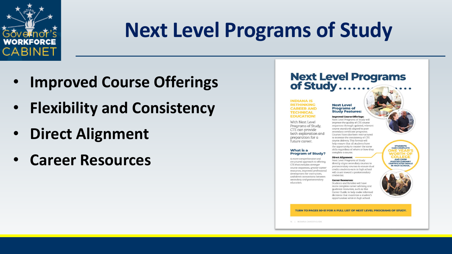

- **Improved Course Offerings**
- **Flexibility and Consistency**
- **Direct Alignment**
- **Career Resources**

#### **Next Level Programs<br>of Study........**

#### **INDIANA IS RETHINKING CAREER AND TECHNICAL EDUCATION!**

With Next Level Programs of Study, CTE can provide both exploration and preparation for a future career.

#### What is a **Program of Study?**

A more comprehensive and structured approach to offering CTE that includes stronger course sequences, greater career resources, improved professional development for instructors, and direct connections between secondary and postsecondary education.

#### **Next Level Programs of Study Features:**

**Improved Course Offerings:** Next Level Programs of Study will improve the quality of CTE course sequences through updated, relevant course standards aligned to postsecondary certificate programs. Courses have also been restructured to increase the consistency of CTE course delivery. This format will help ensure that all students have the opportunity to master the same skills regardless of where or how they complete a course.

#### **Direct Alignment:**

Next Level Programs of Study directly aligns secondary courses to postsecondary courses to ensure dual credits students earn in high school will count toward a postsecondary credential

#### **Career Resources:**

Students and families will have more complete career advising and quidance resources, such as this Career Guide, to help make informed decisions that maximize a student's opportunities while in high school.



TURN TO PAGES 50-51 FOR A FULL LIST OF NEXT LEVEL PROGRAMS OF STUDY.

16 | INDIANA CAREER GUIDE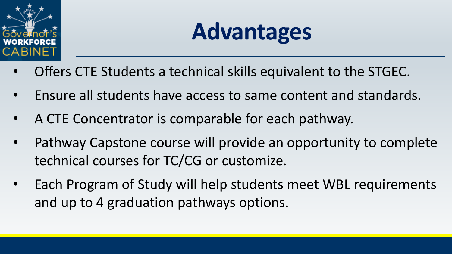

# **Advantages**

- Offers CTE Students a technical skills equivalent to the STGEC.
- Ensure all students have access to same content and standards.
- A CTE Concentrator is comparable for each pathway.
- Pathway Capstone course will provide an opportunity to complete technical courses for TC/CG or customize.
- Each Program of Study will help students meet WBL requirements and up to 4 graduation pathways options.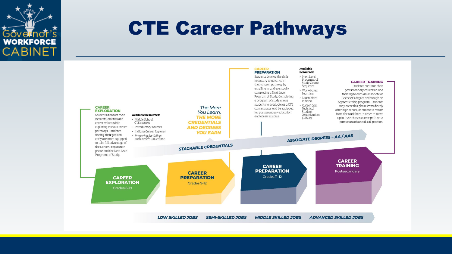

#### CTE Career Pathways

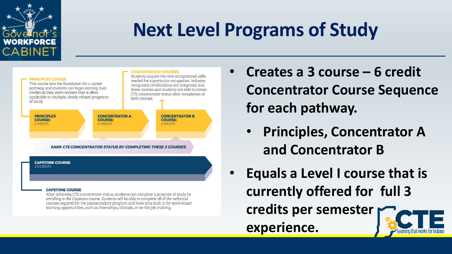



After achieving CTE concentrator status, students can complete a program of study by enrolling in the Capstone course. Students will be able to complete all of the technical courses required for the postsecondary program and have time built in for work-based learning opportunities, such as internships, clinicals, or on-the job training.

- **Creates a 3 course – 6 credit Concentrator Course Sequence for each pathway.** 
	- **Principles, Concentrator A and Concentrator B**
- **Equals a Level I course that is currently offered for full 3 credits per semester experience.**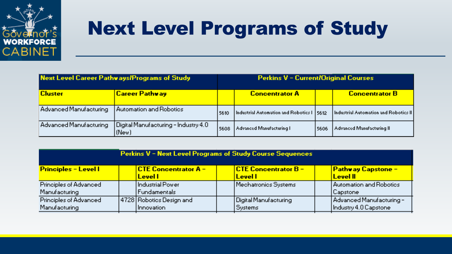

| Next Level Career Pathways/Programs of Study |                                                 | Perkins V - Current/Original Courses |                                             |      |                                                       |
|----------------------------------------------|-------------------------------------------------|--------------------------------------|---------------------------------------------|------|-------------------------------------------------------|
| <b>Cluster</b>                               | Career Pathway                                  |                                      | <b>Concentrator A</b>                       |      | <b>Concentrator B</b>                                 |
| Advanced Manufacturing                       | Automation and Robotics                         | 5610                                 | Industrial Automation and Robotics I   5612 |      | $\vert$ Industrial Automation and Robotics II $\vert$ |
| Advanced Manufacturing                       | Digital Manufacturing - Industry 4.0  <br>(New) | 5608                                 | Advanced Manufacturing L                    | 5606 | Advanced Manufacturing II.                            |

| <b>Perkins V - Next Level Programs of Study Course Sequences</b> |  |                             |  |                               |  |                           |
|------------------------------------------------------------------|--|-----------------------------|--|-------------------------------|--|---------------------------|
| <b>Principles - Levell</b>                                       |  | <b>CTE Concentrator A -</b> |  | <u> CTE Concentrator B – </u> |  | <b>Pathway Capstone -</b> |
|                                                                  |  | <u>Levell</u>               |  | <b>Levell</b>                 |  | <b>Level II</b>           |
| Principles of Advanced                                           |  | Hndustrial Power .          |  | Mechatronics Systems          |  | Automation and Robotics   |
| Manufacturing                                                    |  | Fundamentals                |  |                               |  | Capstone                  |
| Principles of Advanced                                           |  | 4728 Robotics Design and    |  | Digital Manufacturing         |  | Advanced Manufacturing -  |
| Manufacturing                                                    |  | Innovation                  |  | Systems                       |  | Industry 4.0 Capstone     |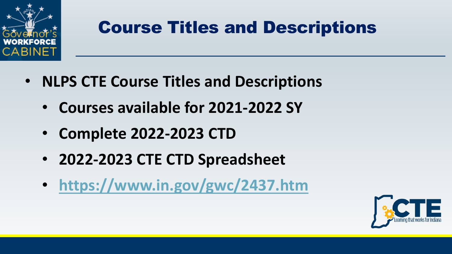

#### Course Titles and Descriptions

- **NLPS CTE Course Titles and Descriptions**
	- **Courses available for 2021-2022 SY**
	- **Complete 2022-2023 CTD**
	- **2022-2023 CTE CTD Spreadsheet**
	- **<https://www.in.gov/gwc/2437.htm>**

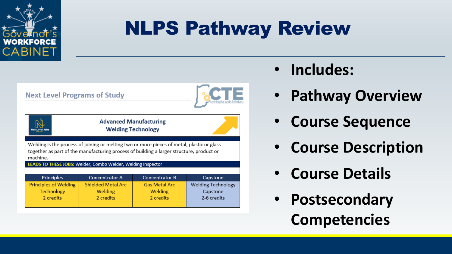

# NLPS Pathway Review

| <b>Next Level Programs of Study</b>                                                                                                                                                                |                           |                       |                           |  |  |  |
|----------------------------------------------------------------------------------------------------------------------------------------------------------------------------------------------------|---------------------------|-----------------------|---------------------------|--|--|--|
| <b>Advanced Manufacturing</b><br><b>Welding Technology</b>                                                                                                                                         |                           |                       |                           |  |  |  |
| Welding is the process of joining or melting two or more pieces of metal, plastic or glass<br>together as part of the manufacturing process of building a larger structure, product or<br>machine. |                           |                       |                           |  |  |  |
| LEADS TO THESE JOBS: Welder, Combo Welder, Welding Inspector                                                                                                                                       |                           |                       |                           |  |  |  |
| Principles                                                                                                                                                                                         | <b>Concentrator A</b>     | <b>Concentrator B</b> | Capstone                  |  |  |  |
| <b>Principles of Welding</b>                                                                                                                                                                       | <b>Shielded Metal Arc</b> | <b>Gas Metal Arc</b>  | <b>Welding Technology</b> |  |  |  |
| Technology                                                                                                                                                                                         | Welding                   | Welding               | Capstone                  |  |  |  |
| 2 credits                                                                                                                                                                                          | 2 credits                 | 2 credits             | 2-6 credits               |  |  |  |

- **Includes:**
- **Pathway Overview**
- **Course Sequence**
- **Course Description**
- **Course Details**
- **Postsecondary Competencies**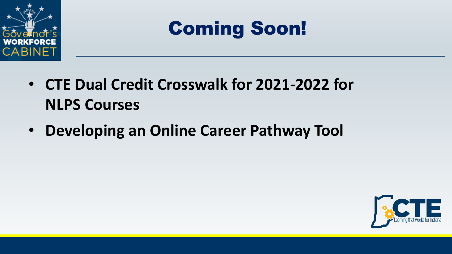

# Coming Soon!

- **CTE Dual Credit Crosswalk for 2021-2022 for NLPS Courses**
- **Developing an Online Career Pathway Tool**

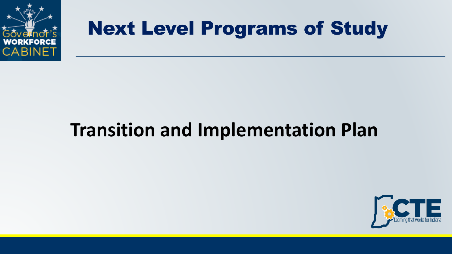

### **Transition and Implementation Plan**

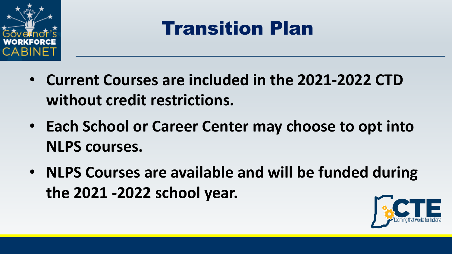

# Transition Plan

- **Current Courses are included in the 2021-2022 CTD without credit restrictions.**
- **Each School or Career Center may choose to opt into NLPS courses.**
- **NLPS Courses are available and will be funded during the 2021 -2022 school year.**

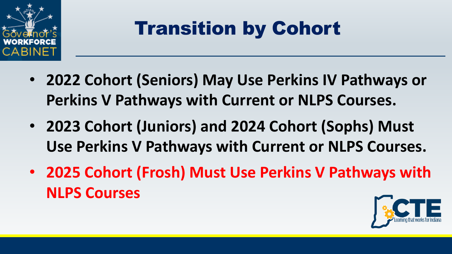

# Transition by Cohort

- **2022 Cohort (Seniors) May Use Perkins IV Pathways or Perkins V Pathways with Current or NLPS Courses.**
- **2023 Cohort (Juniors) and 2024 Cohort (Sophs) Must Use Perkins V Pathways with Current or NLPS Courses.**
- **2025 Cohort (Frosh) Must Use Perkins V Pathways with NLPS Courses**

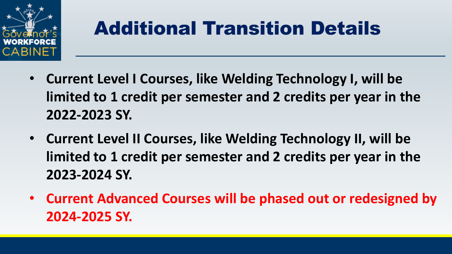

# Additional Transition Details

- **Current Level I Courses, like Welding Technology I, will be limited to 1 credit per semester and 2 credits per year in the 2022-2023 SY.**
- **Current Level II Courses, like Welding Technology II, will be limited to 1 credit per semester and 2 credits per year in the 2023-2024 SY.**
- **Current Advanced Courses will be phased out or redesigned by 2024-2025 SY.**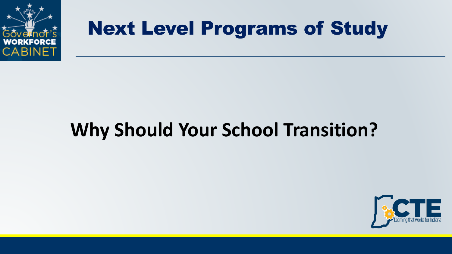

# **Why Should Your School Transition?**

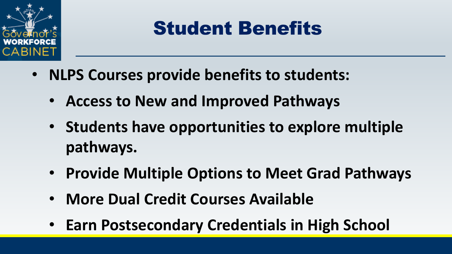

# Student Benefits

- **NLPS Courses provide benefits to students:**
	- **Access to New and Improved Pathways**
	- **Students have opportunities to explore multiple pathways.**
	- **Provide Multiple Options to Meet Grad Pathways**
	- **More Dual Credit Courses Available**
	- **Earn Postsecondary Credentials in High School**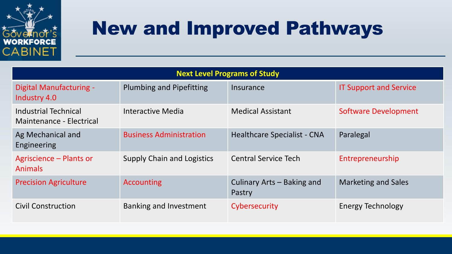

# New and Improved Pathways

| <b>Next Level Programs of Study</b>              |                                   |                                      |                               |  |  |
|--------------------------------------------------|-----------------------------------|--------------------------------------|-------------------------------|--|--|
| Digital Manufacturing -<br>Industry 4.0          | <b>Plumbing and Pipefitting</b>   | Insurance                            | <b>IT Support and Service</b> |  |  |
| Industrial Technical<br>Maintenance - Electrical | Interactive Media                 | <b>Medical Assistant</b>             | <b>Software Development</b>   |  |  |
| Ag Mechanical and<br>Engineering                 | <b>Business Administration</b>    | <b>Healthcare Specialist - CNA</b>   | Paralegal                     |  |  |
| Agriscience – Plants or<br><b>Animals</b>        | <b>Supply Chain and Logistics</b> | <b>Central Service Tech</b>          | Entrepreneurship              |  |  |
| <b>Precision Agriculture</b>                     | <b>Accounting</b>                 | Culinary Arts - Baking and<br>Pastry | <b>Marketing and Sales</b>    |  |  |
| <b>Civil Construction</b>                        | Banking and Investment            | Cybersecurity                        | Energy Technology             |  |  |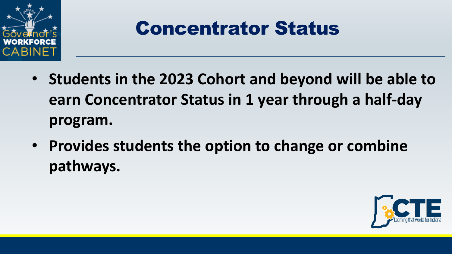

### Concentrator Status

- **Students in the 2023 Cohort and beyond will be able to earn Concentrator Status in 1 year through a half-day program.**
- **Provides students the option to change or combine pathways.**

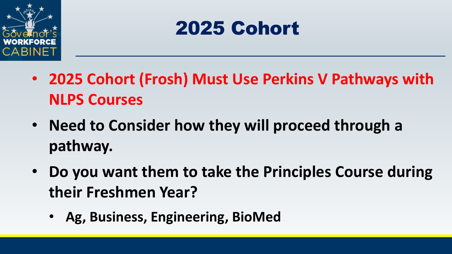

# 2025 Cohort

- **2025 Cohort (Frosh) Must Use Perkins V Pathways with NLPS Courses**
- **Need to Consider how they will proceed through a pathway.**
- **Do you want them to take the Principles Course during their Freshmen Year?** 
	- **Ag, Business, Engineering, BioMed**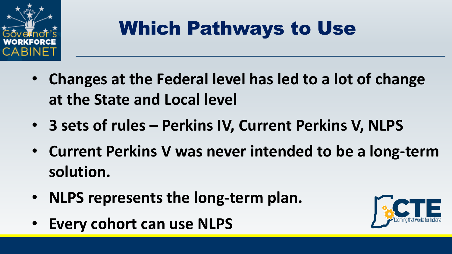

# Which Pathways to Use

- **Changes at the Federal level has led to a lot of change at the State and Local level**
- **3 sets of rules – Perkins IV, Current Perkins V, NLPS**
- **Current Perkins V was never intended to be a long-term solution.**
- **NLPS represents the long-term plan.**
- **Every cohort can use NLPS**

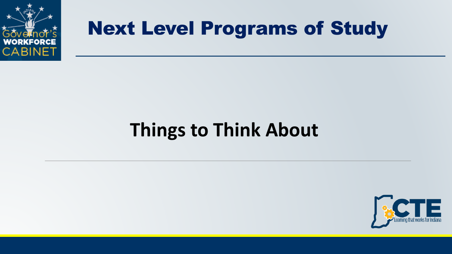

### **Things to Think About**

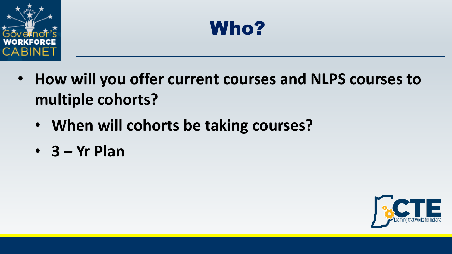



- **How will you offer current courses and NLPS courses to multiple cohorts?**
	- **When will cohorts be taking courses?**
	- **3 – Yr Plan**

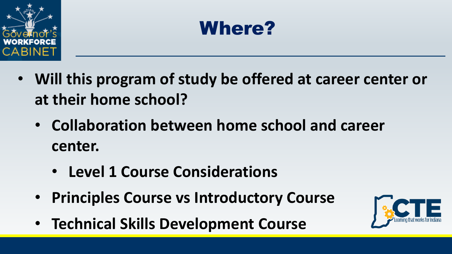



- **Will this program of study be offered at career center or at their home school?**
	- **Collaboration between home school and career center.**
		- **Level 1 Course Considerations**
	- **Principles Course vs Introductory Course**
	- **Technical Skills Development Course**

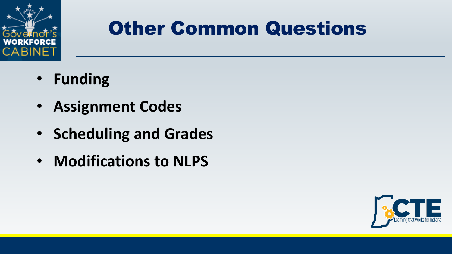

# Other Common Questions

- **Funding**
- **Assignment Codes**
- **Scheduling and Grades**
- **Modifications to NLPS**

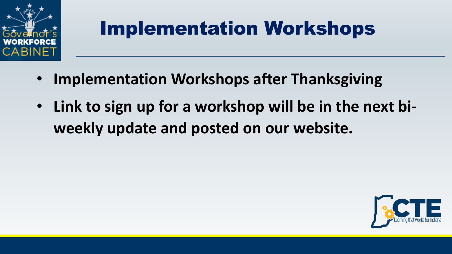

# Implementation Workshops

- **Implementation Workshops after Thanksgiving**
- **Link to sign up for a workshop will be in the next biweekly update and posted on our website.**